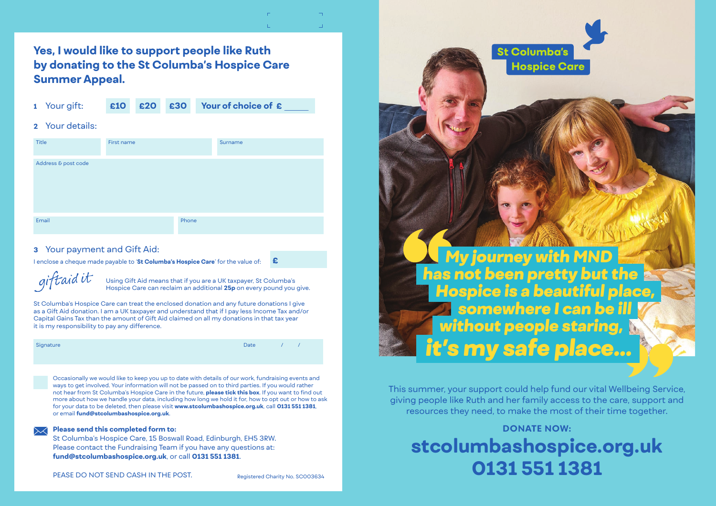**Yes, I would like to support people like Ruth by donating to the St Columba's Hospice Care Summer Appeal. <sup>1</sup>** Your gift: **£10 £20 £30 Your of choice of £\_**

| 1 | Your gift: |  |
|---|------------|--|
|   |            |  |

## **2** Your details:

| Title               | First name |       | Surname |
|---------------------|------------|-------|---------|
| Address & post code |            |       |         |
| Email               |            | Phone |         |

## **3** Your payment and Gift Aid:

I enclose a cheque made payable to '**St Columba's Hospice Care**' for the value of: **£**

giftaidit

Using Gift Aid means that if you are a UK taxpayer, St Columba's Hospice Care can reclaim an additional **25p** on every pound you give.

St Columba's Hospice Care can treat the enclosed donation and any future donations I give as a Gift Aid donation. I am a UK taxpayer and understand that if I pay less Income Tax and/or Capital Gains Tax than the amount of Gift Aid claimed on all my donations in that tax year it is my responsibility to pay any difference.

| Signature |  |
|-----------|--|
|           |  |

Signature and the state of the state of the state of the state  $D$  and  $D$  and  $\mathcal{D}$   $\mathcal{D}$   $\mathcal{D}$ 

Occasionally we would like to keep you up to date with details of our work, fundraising events and ways to get involved. Your information will not be passed on to third parties. If you would rather not hear from St Columba's Hospice Care in the future, **please tick this box**. If you want to find out more about how we handle your data, including how long we hold it for, how to opt out or how to ask for your data to be deleted, then please visit **www.stcolumbashospice.org.uk**, call **0131 551 1381**, or email **fund@stcolumbashospice.org.uk**.

### **Please send this completed form to:**

St Columba's Hospice Care, 15 Boswall Road, Edinburgh, EH5 3RW. Please contact the Fundraising Team if you have any questions at: **fund@stcolumbashospice.org.uk**, or call **0131 551 1381**.



This summer, your support could help fund our vital Wellbeing Service, giving people like Ruth and her family access to the care, support and resources they need, to make the most of their time together.

## **DONATE NOW: stcolumbashospice.org.uk 0131 551 1381**